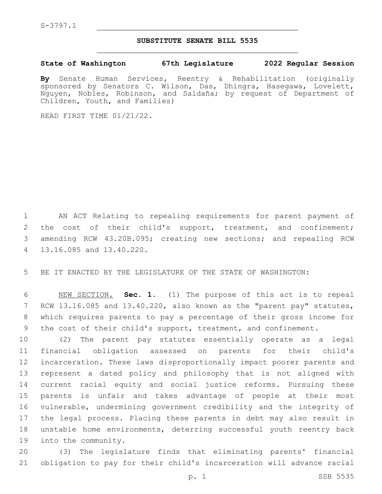## **SUBSTITUTE SENATE BILL 5535**

**State of Washington 67th Legislature 2022 Regular Session**

**By** Senate Human Services, Reentry & Rehabilitation (originally sponsored by Senators C. Wilson, Das, Dhingra, Hasegawa, Lovelett, Nguyen, Nobles, Robinson, and Saldaña; by request of Department of Children, Youth, and Families)

READ FIRST TIME 01/21/22.

1 AN ACT Relating to repealing requirements for parent payment of 2 the cost of their child's support, treatment, and confinement; 3 amending RCW 43.20B.095; creating new sections; and repealing RCW 13.16.085 and 13.40.220.4

5 BE IT ENACTED BY THE LEGISLATURE OF THE STATE OF WASHINGTON:

 NEW SECTION. **Sec. 1.** (1) The purpose of this act is to repeal RCW 13.16.085 and 13.40.220, also known as the "parent pay" statutes, which requires parents to pay a percentage of their gross income for the cost of their child's support, treatment, and confinement.

 (2) The parent pay statutes essentially operate as a legal financial obligation assessed on parents for their child's incarceration. These laws disproportionally impact poorer parents and represent a dated policy and philosophy that is not aligned with current racial equity and social justice reforms. Pursuing these parents is unfair and takes advantage of people at their most vulnerable, undermining government credibility and the integrity of the legal process. Placing these parents in debt may also result in unstable home environments, deterring successful youth reentry back 19 into the community.

20 (3) The legislature finds that eliminating parents' financial 21 obligation to pay for their child's incarceration will advance racial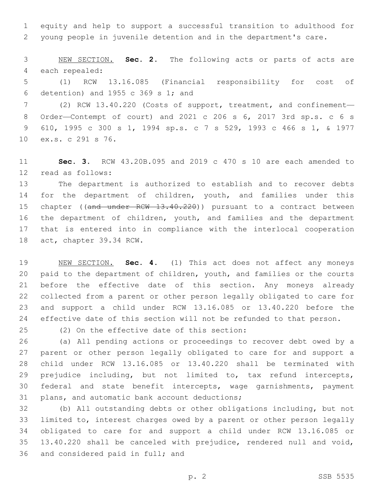equity and help to support a successful transition to adulthood for young people in juvenile detention and in the department's care.

 NEW SECTION. **Sec. 2.** The following acts or parts of acts are each repealed:

 (1) RCW 13.16.085 (Financial responsibility for cost of 6 detention) and 1955 c 369 s 1; and

 (2) RCW 13.40.220 (Costs of support, treatment, and confinement— Order—Contempt of court) and 2021 c 206 s 6, 2017 3rd sp.s. c 6 s 610, 1995 c 300 s 1, 1994 sp.s. c 7 s 529, 1993 c 466 s 1, & 1977 10 ex.s. c 291 s 76.

 **Sec. 3.** RCW 43.20B.095 and 2019 c 470 s 10 are each amended to read as follows:12

 The department is authorized to establish and to recover debts for the department of children, youth, and families under this 15 chapter ((and under RCW 13.40.220)) pursuant to a contract between the department of children, youth, and families and the department that is entered into in compliance with the interlocal cooperation 18 act, chapter 39.34 RCW.

 NEW SECTION. **Sec. 4.** (1) This act does not affect any moneys paid to the department of children, youth, and families or the courts before the effective date of this section. Any moneys already collected from a parent or other person legally obligated to care for and support a child under RCW 13.16.085 or 13.40.220 before the effective date of this section will not be refunded to that person.

(2) On the effective date of this section:25

 (a) All pending actions or proceedings to recover debt owed by a parent or other person legally obligated to care for and support a child under RCW 13.16.085 or 13.40.220 shall be terminated with prejudice including, but not limited to, tax refund intercepts, federal and state benefit intercepts, wage garnishments, payment 31 plans, and automatic bank account deductions;

 (b) All outstanding debts or other obligations including, but not limited to, interest charges owed by a parent or other person legally obligated to care for and support a child under RCW 13.16.085 or 13.40.220 shall be canceled with prejudice, rendered null and void, 36 and considered paid in full; and